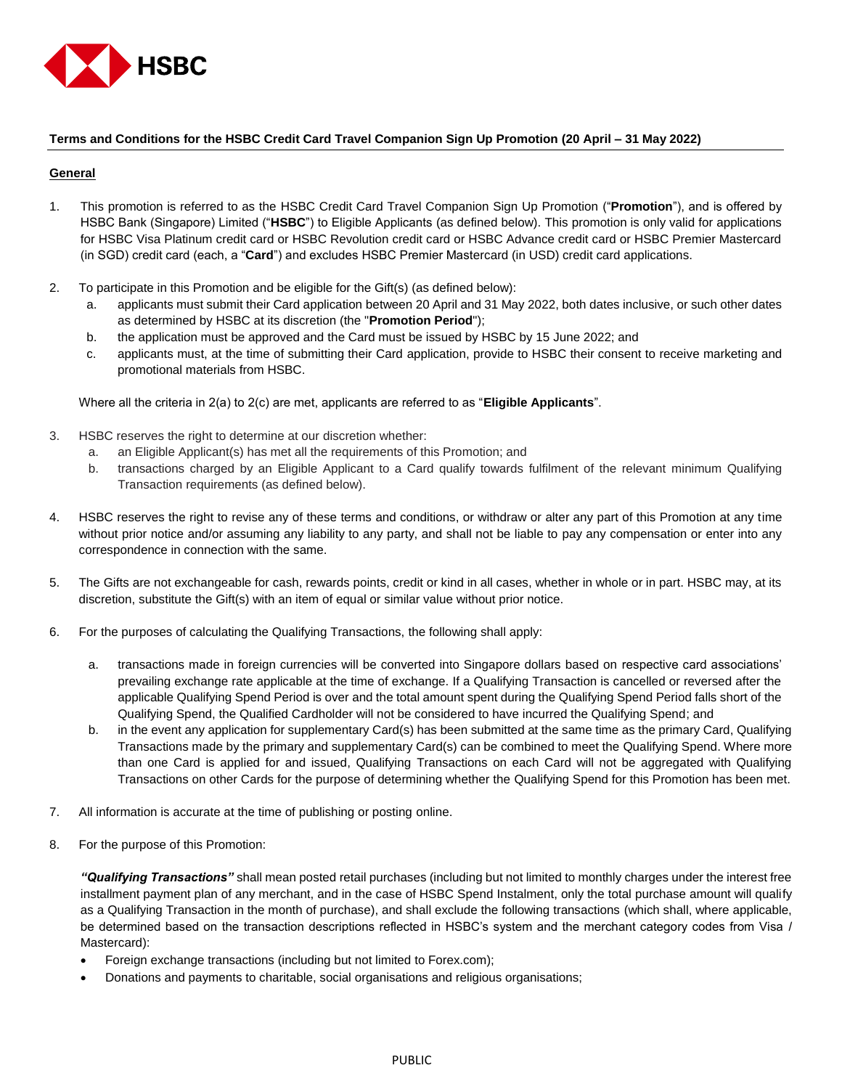

## **Terms and Conditions for the HSBC Credit Card Travel Companion Sign Up Promotion (20 April – 31 May 2022)**

### **General**

- 1. This promotion is referred to as the HSBC Credit Card Travel Companion Sign Up Promotion ("**Promotion**"), and is offered by HSBC Bank (Singapore) Limited ("**HSBC**") to Eligible Applicants (as defined below). This promotion is only valid for applications for HSBC Visa Platinum credit card or HSBC Revolution credit card or HSBC Advance credit card or HSBC Premier Mastercard (in SGD) credit card (each, a "**Card**") and excludes HSBC Premier Mastercard (in USD) credit card applications.
- 2. To participate in this Promotion and be eligible for the Gift(s) (as defined below):
	- a. applicants must submit their Card application between 20 April and 31 May 2022, both dates inclusive, or such other dates as determined by HSBC at its discretion (the "**Promotion Period**");
	- b. the application must be approved and the Card must be issued by HSBC by 15 June 2022; and
	- c. applicants must, at the time of submitting their Card application, provide to HSBC their consent to receive marketing and promotional materials from HSBC.

Where all the criteria in 2(a) to 2(c) are met, applicants are referred to as "**Eligible Applicants**".

- 3. HSBC reserves the right to determine at our discretion whether:
	- a. an Eligible Applicant(s) has met all the requirements of this Promotion; and
	- b. transactions charged by an Eligible Applicant to a Card qualify towards fulfilment of the relevant minimum Qualifying Transaction requirements (as defined below).
- 4. HSBC reserves the right to revise any of these terms and conditions, or withdraw or alter any part of this Promotion at any time without prior notice and/or assuming any liability to any party, and shall not be liable to pay any compensation or enter into any correspondence in connection with the same.
- 5. The Gifts are not exchangeable for cash, rewards points, credit or kind in all cases, whether in whole or in part. HSBC may, at its discretion, substitute the Gift(s) with an item of equal or similar value without prior notice.
- 6. For the purposes of calculating the Qualifying Transactions, the following shall apply:
	- a. transactions made in foreign currencies will be converted into Singapore dollars based on respective card associations' prevailing exchange rate applicable at the time of exchange. If a Qualifying Transaction is cancelled or reversed after the applicable Qualifying Spend Period is over and the total amount spent during the Qualifying Spend Period falls short of the Qualifying Spend, the Qualified Cardholder will not be considered to have incurred the Qualifying Spend; and
	- b. in the event any application for supplementary Card(s) has been submitted at the same time as the primary Card, Qualifying Transactions made by the primary and supplementary Card(s) can be combined to meet the Qualifying Spend. Where more than one Card is applied for and issued, Qualifying Transactions on each Card will not be aggregated with Qualifying Transactions on other Cards for the purpose of determining whether the Qualifying Spend for this Promotion has been met.
- 7. All information is accurate at the time of publishing or posting online.
- 8. For the purpose of this Promotion:

*"Qualifying Transactions"* shall mean posted retail purchases (including but not limited to monthly charges under the interest free installment payment plan of any merchant, and in the case of HSBC Spend Instalment, only the total purchase amount will qualify as a Qualifying Transaction in the month of purchase), and shall exclude the following transactions (which shall, where applicable, be determined based on the transaction descriptions reflected in HSBC's system and the merchant category codes from Visa / Mastercard):

- Foreign exchange transactions (including but not limited to Forex.com);
- Donations and payments to charitable, social organisations and religious organisations;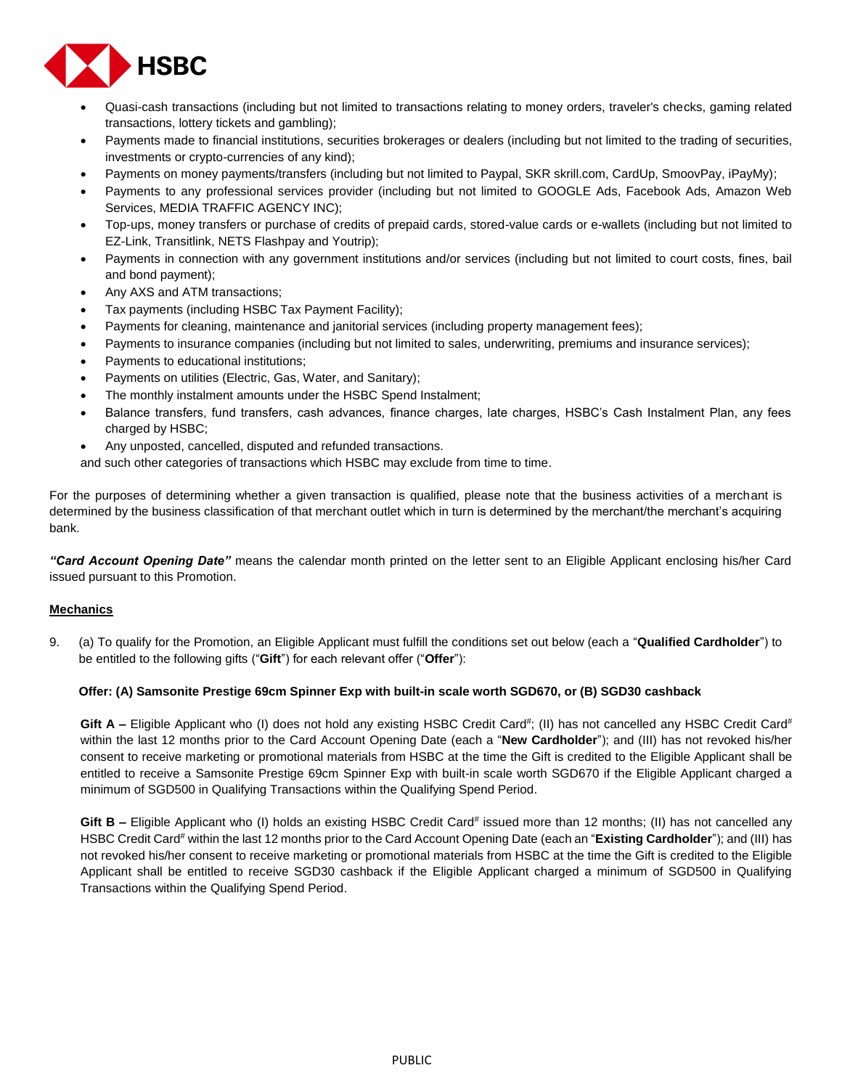

- Quasi-cash transactions (including but not limited to transactions relating to money orders, traveler's checks, gaming related transactions, lottery tickets and gambling);
- Payments made to financial institutions, securities brokerages or dealers (including but not limited to the trading of securities, investments or crypto-currencies of any kind);
- Payments on money payments/transfers (including but not limited to Paypal, SKR skrill.com, CardUp, SmoovPay, iPayMy);
- Payments to any professional services provider (including but not limited to GOOGLE Ads, Facebook Ads, Amazon Web Services, MEDIA TRAFFIC AGENCY INC);
- Top-ups, money transfers or purchase of credits of prepaid cards, stored-value cards or e-wallets (including but not limited to EZ-Link, Transitlink, NETS Flashpay and Youtrip);
- Payments in connection with any government institutions and/or services (including but not limited to court costs, fines, bail and bond payment);
- Any AXS and ATM transactions;
- Tax payments (including HSBC Tax Payment Facility);
- Payments for cleaning, maintenance and janitorial services (including property management fees);
- Payments to insurance companies (including but not limited to sales, underwriting, premiums and insurance services);
- Payments to educational institutions;
- Payments on utilities (Electric, Gas, Water, and Sanitary);
- The monthly instalment amounts under the HSBC Spend Instalment;
- Balance transfers, fund transfers, cash advances, finance charges, late charges, HSBC's Cash Instalment Plan, any fees charged by HSBC;
- Any unposted, cancelled, disputed and refunded transactions.

and such other categories of transactions which HSBC may exclude from time to time.

For the purposes of determining whether a given transaction is qualified, please note that the business activities of a merchant is determined by the business classification of that merchant outlet which in turn is determined by the merchant/the merchant's acquiring bank.

*"Card Account Opening Date"* means the calendar month printed on the letter sent to an Eligible Applicant enclosing his/her Card issued pursuant to this Promotion.

## **Mechanics**

9. (a) To qualify for the Promotion, an Eligible Applicant must fulfill the conditions set out below (each a "**Qualified Cardholder**") to be entitled to the following gifts ("**Gift**") for each relevant offer ("**Offer**"):

#### **Offer: (A) Samsonite Prestige 69cm Spinner Exp with built-in scale worth SGD670, or (B) SGD30 cashback**

Gift A – Eligible Applicant who (I) does not hold any existing HSBC Credit Card<sup>#</sup>; (II) has not cancelled any HSBC Credit Card<sup>#</sup> within the last 12 months prior to the Card Account Opening Date (each a "**New Cardholder**"); and (III) has not revoked his/her consent to receive marketing or promotional materials from HSBC at the time the Gift is credited to the Eligible Applicant shall be entitled to receive a Samsonite Prestige 69cm Spinner Exp with built-in scale worth SGD670 if the Eligible Applicant charged a minimum of SGD500 in Qualifying Transactions within the Qualifying Spend Period.

Gift B – Eligible Applicant who (I) holds an existing HSBC Credit Card<sup>#</sup> issued more than 12 months; (II) has not cancelled any HSBC Credit Card# within the last 12 months prior to the Card Account Opening Date (each an "**Existing Cardholder**"); and (III) has not revoked his/her consent to receive marketing or promotional materials from HSBC at the time the Gift is credited to the Eligible Applicant shall be entitled to receive SGD30 cashback if the Eligible Applicant charged a minimum of SGD500 in Qualifying Transactions within the Qualifying Spend Period.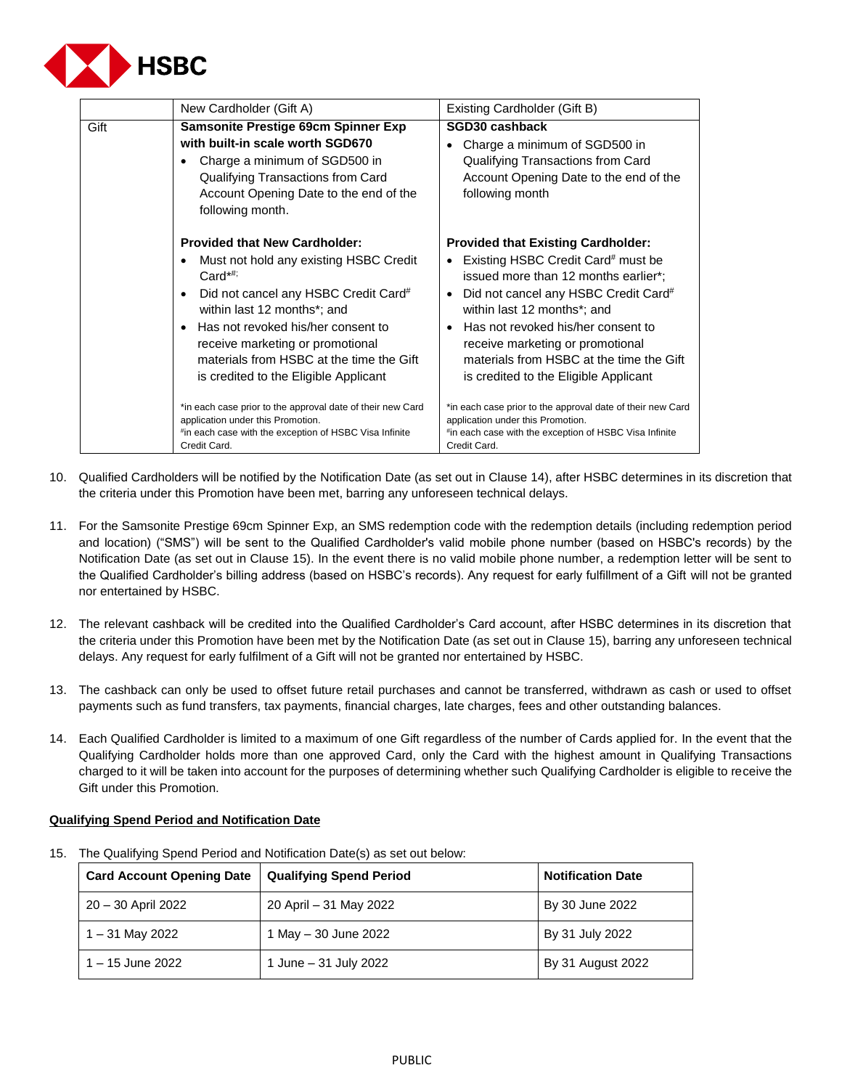

| Gift<br>Samsonite Prestige 69cm Spinner Exp<br>SGD30 cashback<br>with built-in scale worth SGD670<br>Charge a minimum of SGD500 in<br>Qualifying Transactions from Card<br>Account Opening Date to the end of the<br>following month<br>following month.<br><b>Provided that New Cardholder:</b><br>Must not hold any existing HSBC Credit<br>$\bullet$<br>$Card^{\star\#}$<br>Did not cancel any HSBC Credit Card#<br>$\bullet$<br>$\bullet$                                                                                                  | Existing Cardholder (Gift B)                                                                                                                                                                                                                                                                                                                                  |  |
|------------------------------------------------------------------------------------------------------------------------------------------------------------------------------------------------------------------------------------------------------------------------------------------------------------------------------------------------------------------------------------------------------------------------------------------------------------------------------------------------------------------------------------------------|---------------------------------------------------------------------------------------------------------------------------------------------------------------------------------------------------------------------------------------------------------------------------------------------------------------------------------------------------------------|--|
|                                                                                                                                                                                                                                                                                                                                                                                                                                                                                                                                                | Charge a minimum of SGD500 in<br>Qualifying Transactions from Card<br>Account Opening Date to the end of the                                                                                                                                                                                                                                                  |  |
| within last 12 months*; and<br>Has not revoked his/her consent to<br>$\bullet$<br>$\bullet$<br>receive marketing or promotional<br>materials from HSBC at the time the Gift<br>is credited to the Eligible Applicant<br>*in each case prior to the approval date of their new Card<br>*in each case prior to the approval date of their new Card<br>application under this Promotion.<br>application under this Promotion.<br>*in each case with the exception of HSBC Visa Infinite<br>*in each case with the exception of HSBC Visa Infinite | <b>Provided that Existing Cardholder:</b><br>Existing HSBC Credit Card# must be<br>issued more than 12 months earlier*;<br>Did not cancel any HSBC Credit Card#<br>within last 12 months*; and<br>Has not revoked his/her consent to<br>receive marketing or promotional<br>materials from HSBC at the time the Gift<br>is credited to the Eligible Applicant |  |

- 10. Qualified Cardholders will be notified by the Notification Date (as set out in Clause 14), after HSBC determines in its discretion that the criteria under this Promotion have been met, barring any unforeseen technical delays.
- 11. For the Samsonite Prestige 69cm Spinner Exp, an SMS redemption code with the redemption details (including redemption period and location) ("SMS") will be sent to the Qualified Cardholder's valid mobile phone number (based on HSBC's records) by the Notification Date (as set out in Clause 15). In the event there is no valid mobile phone number, a redemption letter will be sent to the Qualified Cardholder's billing address (based on HSBC's records). Any request for early fulfillment of a Gift will not be granted nor entertained by HSBC.
- 12. The relevant cashback will be credited into the Qualified Cardholder's Card account, after HSBC determines in its discretion that the criteria under this Promotion have been met by the Notification Date (as set out in Clause 15), barring any unforeseen technical delays. Any request for early fulfilment of a Gift will not be granted nor entertained by HSBC.
- 13. The cashback can only be used to offset future retail purchases and cannot be transferred, withdrawn as cash or used to offset payments such as fund transfers, tax payments, financial charges, late charges, fees and other outstanding balances.
- 14. Each Qualified Cardholder is limited to a maximum of one Gift regardless of the number of Cards applied for. In the event that the Qualifying Cardholder holds more than one approved Card, only the Card with the highest amount in Qualifying Transactions charged to it will be taken into account for the purposes of determining whether such Qualifying Cardholder is eligible to receive the Gift under this Promotion.

# **Qualifying Spend Period and Notification Date**

| <b>Card Account Opening Date</b> | <b>Qualifying Spend Period</b> | <b>Notification Date</b> |
|----------------------------------|--------------------------------|--------------------------|
| 20 - 30 April 2022               | 20 April – 31 May 2022         | By 30 June 2022          |
| $1 - 31$ May 2022                | 1 May - 30 June 2022           | By 31 July 2022          |
| 1 – 15 June 2022                 | 1 June - 31 July 2022          | By 31 August 2022        |

15. The Qualifying Spend Period and Notification Date(s) as set out below: